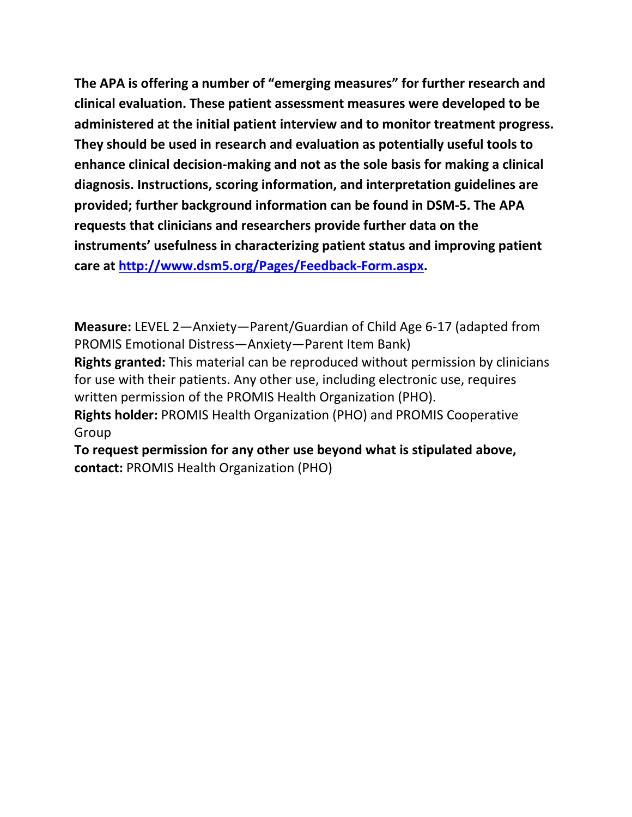**The APA is offering a number of "emerging measures" for further research and clinical evaluation. These patient assessment measures were developed to be administered at the initial patient interview and to monitor treatment progress. They should be used in research and evaluation as potentially useful tools to enhance clinical decision-making and not as the sole basis for making a clinical diagnosis. Instructions, scoring information, and interpretation guidelines are provided; further background information can be found in DSM-5. The APA requests that clinicians and researchers provide further data on the instruments' usefulness in characterizing patient status and improving patient care at [http://www.dsm5.org/Pages/Feedback-Form.aspx.](http://www.dsm5.org/Pages/Feedback-Form.aspx)**

**Measure:** LEVEL 2—Anxiety—Parent/Guardian of Child Age 6-17 (adapted from PROMIS Emotional Distress—Anxiety—Parent Item Bank) **Rights granted:** This material can be reproduced without permission by clinicians for use with their patients. Any other use, including electronic use, requires written permission of the PROMIS Health Organization (PHO). **Rights holder:** PROMIS Health Organization (PHO) and PROMIS Cooperative Group

**To request permission for any other use beyond what is stipulated above, contact:** PROMIS Health Organization (PHO)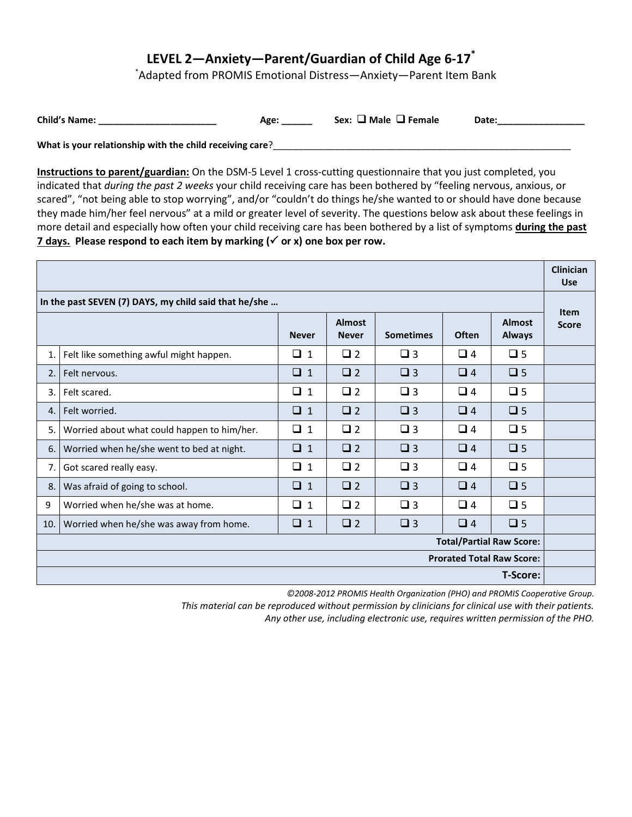## **LEVEL 2—Anxiety—Parent/Guardian of Child Age 6-17\***

\*Adapted from PROMIS Emotional Distress—Anxiety—Parent Item Bank

| <b>Child's Name:</b> | Age | ⊿ Male ∟ Female<br>Sex: | Date: |
|----------------------|-----|-------------------------|-------|
|----------------------|-----|-------------------------|-------|

What is your relationship with the child receiving care?\_\_\_

**Instructions to parent/guardian:** On the DSM-5 Level 1 cross-cutting questionnaire that you just completed, you indicated that *during the past 2 weeks* your child receiving care has been bothered by "feeling nervous, anxious, or scared", "not being able to stop worrying", and/or "couldn't do things he/she wanted to or should have done because they made him/her feel nervous" at a mild or greater level of severity. The questions below ask about these feelings in more detail and especially how often your child receiving care has been bothered by a list of symptoms **during the past 7 days.** Please respond to each item by marking  $(\check{ } )$  or x) one box per row.

|                                                       |                                             |              |                               |                  |              |                                | <b>Clinician</b><br><b>Use</b> |
|-------------------------------------------------------|---------------------------------------------|--------------|-------------------------------|------------------|--------------|--------------------------------|--------------------------------|
| In the past SEVEN (7) DAYS, my child said that he/she |                                             |              |                               |                  | <b>Item</b>  |                                |                                |
|                                                       |                                             | <b>Never</b> | <b>Almost</b><br><b>Never</b> | <b>Sometimes</b> | <b>Often</b> | <b>Almost</b><br><b>Always</b> | <b>Score</b>                   |
| 1.                                                    | Felt like something awful might happen.     | $\Box$ 1     | $\Box$ 2                      | $\Box$ 3         | $\Box$ 4     | $\square$ 5                    |                                |
| 2.                                                    | Felt nervous.                               | $\Box$ 1     | $\Box$ 2                      | $\Box$ 3         | $\Box$ 4     | $\square$ 5                    |                                |
| 3.                                                    | Felt scared.                                | $\Box$ 1     | $\Box$ 2                      | $\Box$ 3         | $\Box$ 4     | $\square$ 5                    |                                |
| 4.                                                    | Felt worried.                               | $\Box$ 1     | $\Box$ 2                      | $\Box$ 3         | $\Box$ 4     | $\square$ 5                    |                                |
| 5.                                                    | Worried about what could happen to him/her. | $\Box$ 1     | $\Box$ 2                      | $\Box$ 3         | $\Box$ 4     | $\Box$ 5                       |                                |
| 6.                                                    | Worried when he/she went to bed at night.   | $\Box$ 1     | $\Box$ 2                      | $\Box$ 3         | $\Box$ 4     | $\square$ 5                    |                                |
| 7.                                                    | Got scared really easy.                     | $\Box$ 1     | $\Box$ 2                      | $\Box$ 3         | $\Box$ 4     | $\Box$ 5                       |                                |
| 8.                                                    | Was afraid of going to school.              | $\Box$ 1     | $\Box$ 2                      | $\Box$ 3         | $\Box$ 4     | $\square$ 5                    |                                |
| 9                                                     | Worried when he/she was at home.            | $\Box$ 1     | $\Box$ 2                      | $\Box$ 3         | $\Box$ 4     | $\square$ 5                    |                                |
| 10.                                                   | Worried when he/she was away from home.     | $\Box$ 1     | $\Box$ 2                      | $\Box$ 3         | $\Box$ 4     | $\Box$ 5                       |                                |
| <b>Total/Partial Raw Score:</b>                       |                                             |              |                               |                  |              |                                |                                |
| <b>Prorated Total Raw Score:</b>                      |                                             |              |                               |                  |              |                                |                                |
| <b>T-Score:</b>                                       |                                             |              |                               |                  |              |                                |                                |

*©2008-2012 PROMIS Health Organization (PHO) and PROMIS Cooperative Group.* 

*This material can be reproduced without permission by clinicians for clinical use with their patients.*

*Any other use, including electronic use, requires written permission of the PHO.*